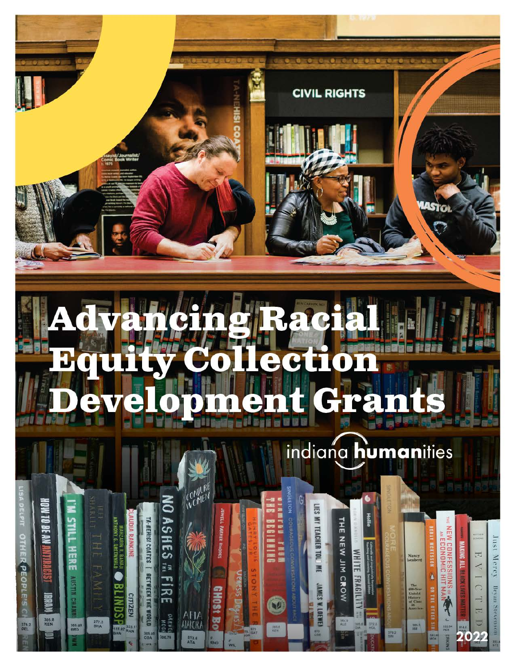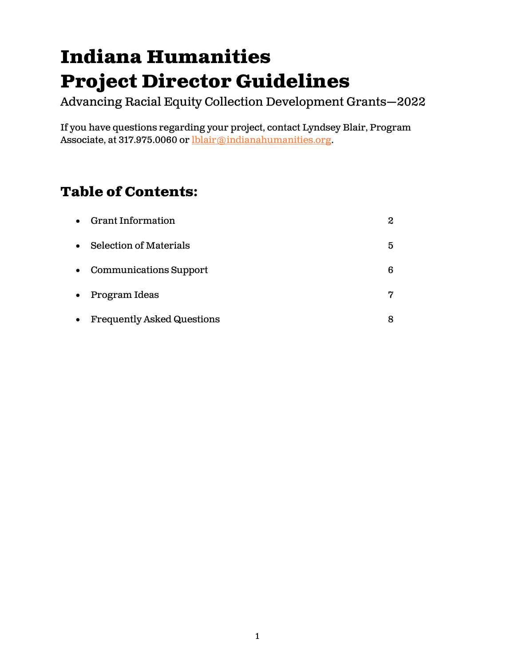# **Indiana Humanities Project Director Guidelines**

Advancing Racial Equity Collection Development Grants—2022

If you have questions regarding your project, contact Lyndsey Blair, Program Associate, at 317.975.0060 or [lblair@indianahumanities.org.](mailto:lblair@indianahumanities.org)

# **Table of Contents:**

|           | • Grant Information               | $\boldsymbol{2}$ |
|-----------|-----------------------------------|------------------|
|           | • Selection of Materials          | 5                |
|           | • Communications Support          | 6                |
| $\bullet$ | Program Ideas                     | 7                |
| $\bullet$ | <b>Frequently Asked Questions</b> | 8                |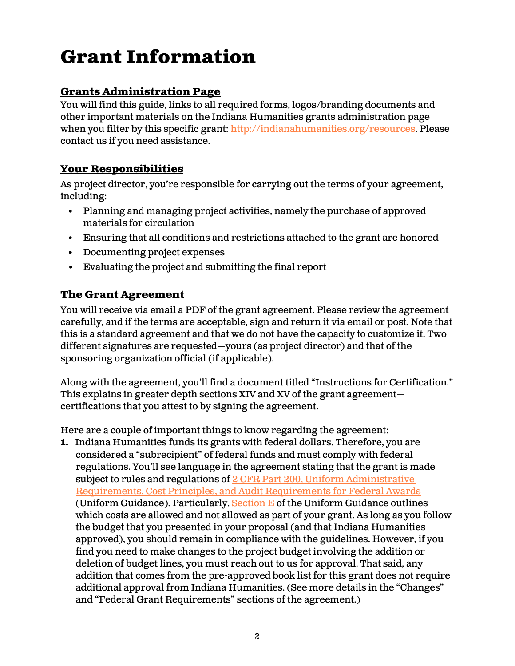# **Grant Information**

# **Grants Administration Page**

You will find this guide, links to all required forms, logos/branding documents and other important materials on the Indiana Humanities grants administration page when you filter by this specific grant: [http://indianahumanities.org/resources.](http://indianahumanities.org/resources) Please contact us if you need assistance.

## **Your Responsibilities**

As project director, you're responsible for carrying out the terms of your agreement, including:

- Planning and managing project activities, namely the purchase of approved materials for circulation
- Ensuring that all conditions and restrictions attached to the grant are honored
- Documenting project expenses
- Evaluating the project and submitting the final report

# **The Grant Agreement**

You will receive via email a PDF of the grant agreement. Please review the agreement carefully, and if the terms are acceptable, sign and return it via email or post. Note that this is a standard agreement and that we do not have the capacity to customize it. Two different signatures are requested—yours (as project director) and that of the sponsoring organization official (if applicable).

Along with the agreement, you'll find a document titled "Instructions for Certification." This explains in greater depth sections XIV and XV of the grant agreement certifications that you attest to by signing the agreement.

Here are a couple of important things to know regarding the agreement:

**1.** Indiana Humanities funds its grants with federal dollars. Therefore, you are considered a "subrecipient" of federal funds and must comply with federal regulations. You'll see language in the agreement stating that the grant is made subject to rules and regulations of 2 CFR Part 200, Uniform Administrative [Requirements, Cost Principles, and Audit Requirements for Federal Awards](https://www.ecfr.gov/current/title-2/subtitle-A/chapter-II/part-200?toc=1) (Uniform Guidance). Particularly, Section  $E$  of the Uniform Guidance outlines which costs are allowed and not allowed as part of your grant. As long as you follow the budget that you presented in your proposal (and that Indiana Humanities approved), you should remain in compliance with the guidelines. However, if you find you need to make changes to the project budget involving the addition or deletion of budget lines, you must reach out to us for approval. That said, any addition that comes from the pre-approved book list for this grant does not require additional approval from Indiana Humanities. (See more details in the "Changes" and "Federal Grant Requirements" sections of the agreement.)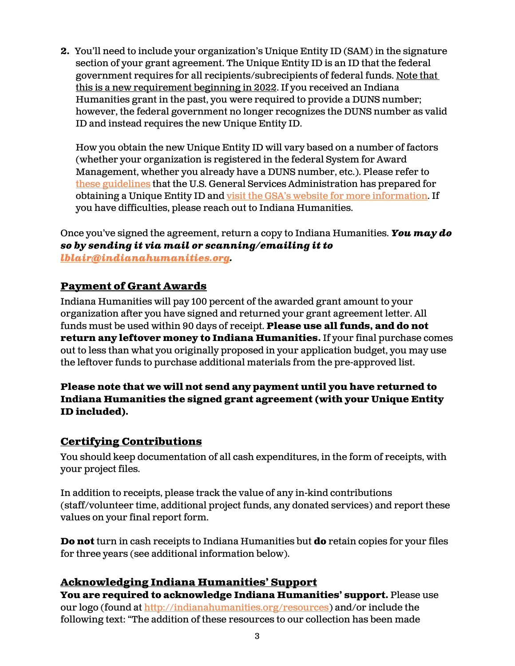**2.** You'll need to include your organization's Unique Entity ID (SAM) in the signature section of your grant agreement. The Unique Entity ID is an ID that the federal government requires for all recipients/subrecipients of federal funds. Note that this is a new requirement beginning in 2022. If you received an Indiana Humanities grant in the past, you were required to provide a DUNS number; however, the federal government no longer recognizes the DUNS number as valid ID and instead requires the new Unique Entity ID.

How you obtain the new Unique Entity ID will vary based on a number of factors (whether your organization is registered in the federal System for Award Management, whether you already have a DUNS number, etc.). Please refer to [these guidelines](https://indianahumanities.org/wp-content/uploads/2022/02/Quick-Start-Guide-for-Getting-a-Unique-Entity-ID.pdf) that the U.S. General Services Administration has prepared for obtaining a Unique Entity ID and [visit the GSA's website for more informati](https://www.gsa.gov/about-us/organization/federal-acquisition-service/office-of-systems-management/integrated-award-environment-iae/iae-systems-information-kit/unique-entity-identifier-update?mc_cid=34fcfc5c9f&mc_eid=2ceea432e5)on. If you have difficulties, please reach out to Indiana Humanities.

Once you've signed the agreement, return a copy to Indiana Humanities. *You may do so by sending it via mail or scanning/emailing it to [lblair@indianahumanities.org.](mailto:lblair@indianahumanities.org)*

# **Payment of Grant Awards**

Indiana Humanities will pay 100 percent of the awarded grant amount to your organization after you have signed and returned your grant agreement letter. All funds must be used within 90 days of receipt. **Please use all funds, and do not return any leftover money to Indiana Humanities.** If your final purchase comes out to less than what you originally proposed in your application budget, you may use the leftover funds to purchase additional materials from the pre-approved list.

#### **Please note that we will not send any payment until you have returned to Indiana Humanities the signed grant agreement (with your Unique Entity ID included).**

## **Certifying Contributions**

You should keep documentation of all cash expenditures, in the form of receipts, with your project files.

In addition to receipts, please track the value of any in-kind contributions (staff/volunteer time, additional project funds, any donated services) and report these values on your final report form.

**Do not** turn in cash receipts to Indiana Humanities but **do** retain copies for your files for three years (see additional information below).

## **Acknowledging Indiana Humanities' Support**

**You are required to acknowledge Indiana Humanities' support.** Please use our logo (found a[t http://indianahumanities.org/resources\)](http://indianahumanities.org/resources) and/or include the following text: "The addition of these resources to our collection has been made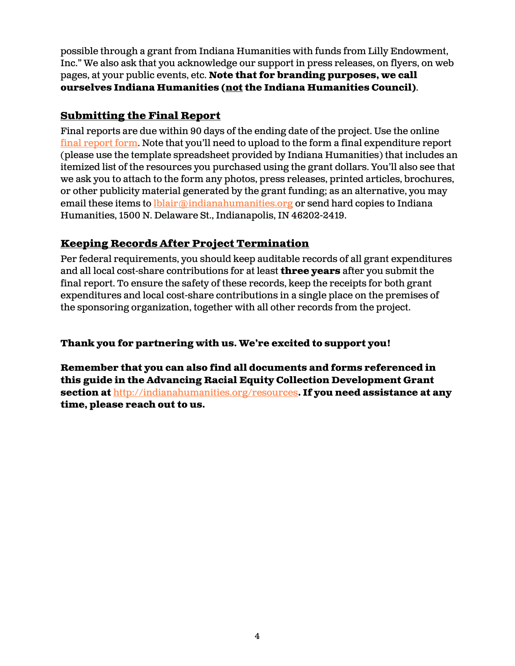possible through a grant from Indiana Humanities with funds from Lilly Endowment, Inc." We also ask that you acknowledge our support in press releases, on flyers, on web pages, at your public events, etc. **Note that for branding purposes, we call ourselves Indiana Humanities (not the Indiana Humanities Council)**.

### **Submitting the Final Report**

Final reports are due within 90 days of the ending date of the project. Use the online [final report form.](https://indianahumanities.wufoo.com/forms/m5z9g560352z1w/) Note that you'll need to upload to the form a final expenditure report (please use the template spreadsheet provided by Indiana Humanities) that includes an itemized list of the resources you purchased using the grant dollars. You'll also see that we ask you to attach to the form any photos, press releases, printed articles, brochures, or other publicity material generated by the grant funding; as an alternative, you may email these items to **love indianahumanities.org** or send hard copies to Indiana Humanities, 1500 N. Delaware St., Indianapolis, IN 46202-2419.

# **Keeping Records After Project Termination**

Per federal requirements, you should keep auditable records of all grant expenditures and all local cost-share contributions for at least **three years** after you submit the final report. To ensure the safety of these records, keep the receipts for both grant expenditures and local cost-share contributions in a single place on the premises of the sponsoring organization, together with all other records from the project.

#### **Thank you for partnering with us. We're excited to support you!**

**Remember that you can also find all documents and forms referenced in this guide in the Advancing Racial Equity Collection Development Grant section at** <http://indianahumanities.org/resources>**. If you need assistance at any time, please reach out to us.**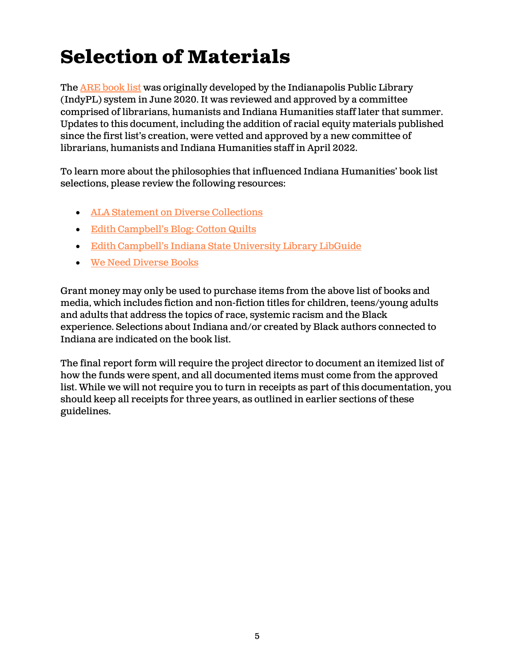# **Selection of Materials**

The **ARE [book](https://indianahumanities.org/wp-content/uploads/2022/05/2022-ARE-Booklist.pdf) list** was originally developed by the Indianapolis Public Library (IndyPL) system in June 2020. It was reviewed and approved by a committee comprised of librarians, humanists and Indiana Humanities staff later that summer. Updates to this document, including the addition of racial equity materials published since the first list's creation, were vetted and approved by a new committee of librarians, humanists and Indiana Humanities staff in April 2022.

To learn more about the philosophies that influenced Indiana Humanities' book list selections, please review the following resources:

- [ALA Statement on Diverse Collections](https://www.ala.org/advocacy/intfreedom/librarybill/interpretations/diversecollections)
- [Edith Campbell's Blog: Cotton Quilts](https://edicottonquilt.com/)
- [Edith Campbell's Indiana State University Library LibGuide](https://libguides.indstate.edu/c.php?g=959187&p=6925167)
- [We Need Diverse Books](https://diversebooks.org/)

Grant money may only be used to purchase items from the above list of books and media, which includes fiction and non-fiction titles for children, teens/young adults and adults that address the topics of race, systemic racism and the Black experience. Selections about Indiana and/or created by Black authors connected to Indiana are indicated on the book list.

The final report form will require the project director to document an itemized list of how the funds were spent, and all documented items must come from the approved list. While we will not require you to turn in receipts as part of this documentation, you should keep all receipts for three years, as outlined in earlier sections of these guidelines.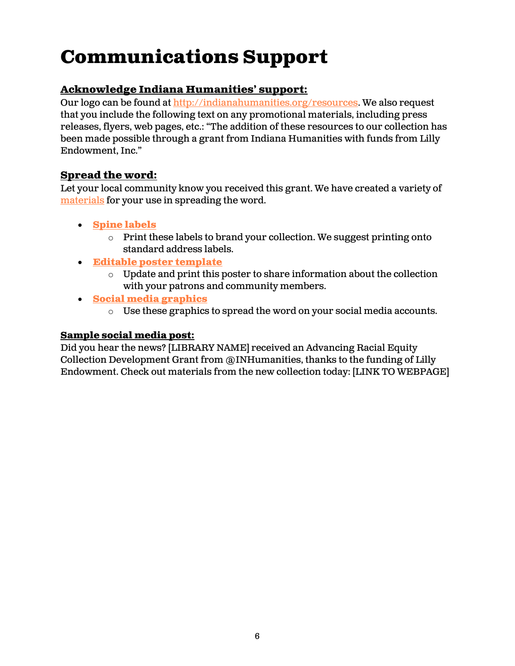# **Communications Support**

# **Acknowledge Indiana Humanities' support:**

Our logo can be found at [http://indianahumanities.org/resources.](http://indianahumanities.org/resources) We also request that you include the following text on any promotional materials, including press releases, flyers, web pages, etc.: "The addition of these resources to our collection has been made possible through a grant from Indiana Humanities with funds from Lilly Endowment, Inc."

# **Spread the word:**

Let your local community know you received this grant. We have created a variety of [materials](https://www.dropbox.com/scl/fo/pccxgg26y4xth4yn6wo9r/h?dl=0&rlkey=s3i6mujry24ya9m8vjuhxk2v4) for your use in spreading the word.

- **[Spine labels](https://www.dropbox.com/scl/fo/pccxgg26y4xth4yn6wo9r/h?dl=0&preview=ARECD+Labels+Avery18160-01.png&rlkey=s3i6mujry24ya9m8vjuhxk2v4)**
	- $\circ$  Print these labels to brand your collection. We suggest printing onto standard address labels.
- **[Editable poster template](https://www.dropbox.com/scl/fo/pccxgg26y4xth4yn6wo9r/h?dl=0&preview=ARECD+Editable+poster.docx&rlkey=s3i6mujry24ya9m8vjuhxk2v4)**
	- o Update and print this poster to share information about the collection with your patrons and community members.
- **[Social media graphics](https://www.dropbox.com/scl/fo/pccxgg26y4xth4yn6wo9r/h?dl=0&preview=ARE-Social-Square.png&rlkey=s3i6mujry24ya9m8vjuhxk2v4)**
	- $\circ$  Use these graphics to spread the word on your social media accounts.

### **Sample social media post:**

Did you hear the news? [LIBRARY NAME] received an Advancing Racial Equity Collection Development Grant from @INHumanities, thanks to the funding of Lilly Endowment. Check out materials from the new collection today: [LINK TO WEBPAGE]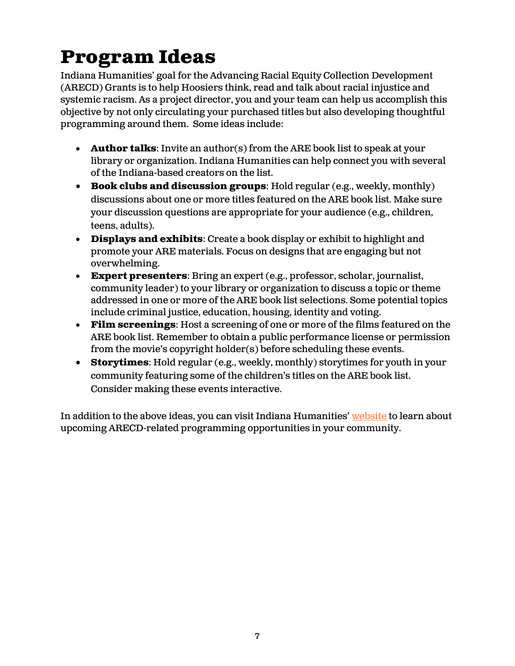# **Program Ideas**

Indiana Humanities' goal for the Advancing Racial Equity Collection Development (ARECD) Grants is to help Hoosiers think, read and talk about racial injustice and systemic racism. As a project director, you and your team can help us accomplish this objective by not only circulating your purchased titles but also developing thoughtful programming around them. Some ideas include:

- **Author talks**: Invite an author(s) from the ARE book list to speak at your library or organization. Indiana Humanities can help connect you with several of the Indiana-based creators on the list.
- **Book clubs and discussion groups**: Hold regular (e.g., weekly, monthly) discussions about one or more titles featured on the ARE book list. Make sure your discussion questions are appropriate for your audience (e.g., children, teens, adults).
- **Displays and exhibits**: Create a book display or exhibit to highlight and promote your ARE materials. Focus on designs that are engaging but not overwhelming.
- **Expert presenters**: Bring an expert (e.g., professor, scholar, journalist, community leader) to your library or organization to discuss a topic or theme addressed in one or more of the ARE book list selections. Some potential topics include criminal justice, education, housing, identity and voting.
- **Film screenings**: Host a screening of one or more of the films featured on the ARE book list. Remember to obtain a public performance license or permission from the movie's copyright holder(s) before scheduling these events.
- **Storytimes**: Hold regular (e.g., weekly, monthly) storytimes for youth in your community featuring some of the children's titles on the ARE book list. Consider making these events interactive.

In addition to the above ideas, you can visit Indiana Humanities' [website](https://indianahumanities.org/) to learn about upcoming ARECD-related programming opportunities in your community.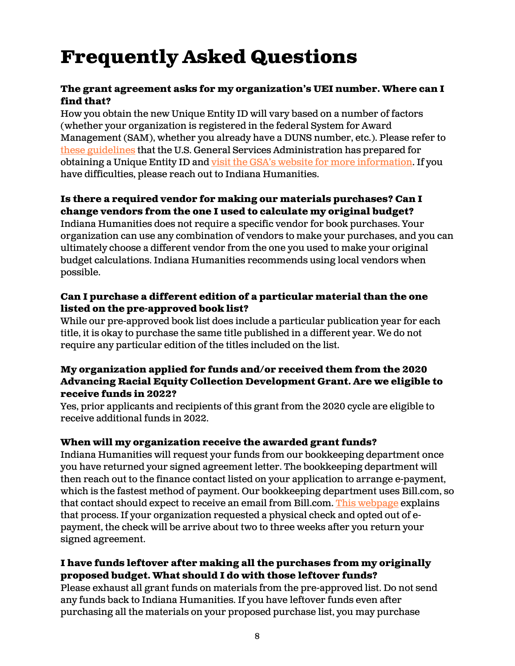# **Frequently Asked Questions**

#### **The grant agreement asks for my organization's UEI number. Where can I find that?**

How you obtain the new Unique Entity ID will vary based on a number of factors (whether your organization is registered in the federal System for Award Management (SAM), whether you already have a DUNS number, etc.). Please refer to [these guidelines](https://indianahumanities.org/wp-content/uploads/2022/02/Quick-Start-Guide-for-Getting-a-Unique-Entity-ID.pdf) that the U.S. General Services Administration has prepared for obtaining a Unique Entity ID and [visit the GSA's website for more information](https://www.gsa.gov/about-us/organization/federal-acquisition-service/office-of-systems-management/integrated-award-environment-iae/iae-systems-information-kit/unique-entity-identifier-update?mc_cid=34fcfc5c9f&mc_eid=2ceea432e5). If you have difficulties, please reach out to Indiana Humanities.

### **Is there a required vendor for making our materials purchases? Can I change vendors from the one I used to calculate my original budget?**

Indiana Humanities does not require a specific vendor for book purchases. Your organization can use any combination of vendors to make your purchases, and you can ultimately choose a different vendor from the one you used to make your original budget calculations. Indiana Humanities recommends using local vendors when possible.

#### **Can I purchase a different edition of a particular material than the one listed on the pre-approved book list?**

While our pre-approved book list does include a particular publication year for each title, it is okay to purchase the same title published in a different year. We do not require any particular edition of the titles included on the list.

#### **My organization applied for funds and/or received them from the 2020 Advancing Racial Equity Collection Development Grant. Are we eligible to receive funds in 2022?**

Yes, prior applicants and recipients of this grant from the 2020 cycle are eligible to receive additional funds in 2022.

#### **When will my organization receive the awarded grant funds?**

Indiana Humanities will request your funds from our bookkeeping department once you have returned your signed agreement letter. The bookkeeping department will then reach out to the finance contact listed on your application to arrange e-payment, which is the fastest method of payment. Our bookkeeping department uses Bill.com, so that contact should expect to receive an email from Bill.com. This [webpage](https://help.bill.com/hc/en-us/articles/115005387243-Setting-up-a-subscription-free-Basic-Receivables-account) explains that process. If your organization requested a physical check and opted out of epayment, the check will be arrive about two to three weeks after you return your signed agreement.

### **I have funds leftover after making all the purchases from my originally proposed budget. What should I do with those leftover funds?**

Please exhaust all grant funds on materials from the pre-approved list. Do not send any funds back to Indiana Humanities. If you have leftover funds even after purchasing all the materials on your proposed purchase list, you may purchase